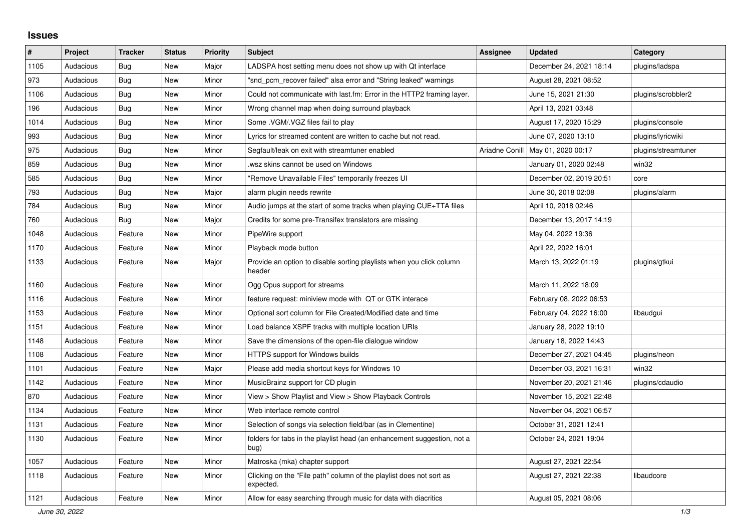## **Issues**

| $\#$ | Project   | <b>Tracker</b> | <b>Status</b> | <b>Priority</b> | <b>Subject</b>                                                                   | <b>Assignee</b> | <b>Updated</b>                      | Category            |
|------|-----------|----------------|---------------|-----------------|----------------------------------------------------------------------------------|-----------------|-------------------------------------|---------------------|
| 1105 | Audacious | <b>Bug</b>     | <b>New</b>    | Major           | LADSPA host setting menu does not show up with Qt interface                      |                 | December 24, 2021 18:14             | plugins/ladspa      |
| 973  | Audacious | Bug            | <b>New</b>    | Minor           | "snd pcm recover failed" alsa error and "String leaked" warnings                 |                 | August 28, 2021 08:52               |                     |
| 1106 | Audacious | Bug            | <b>New</b>    | Minor           | Could not communicate with last.fm: Error in the HTTP2 framing layer.            |                 | June 15, 2021 21:30                 | plugins/scrobbler2  |
| 196  | Audacious | Bug            | <b>New</b>    | Minor           | Wrong channel map when doing surround playback                                   |                 | April 13, 2021 03:48                |                     |
| 1014 | Audacious | <b>Bug</b>     | <b>New</b>    | Minor           | Some .VGM/.VGZ files fail to play                                                |                 | August 17, 2020 15:29               | plugins/console     |
| 993  | Audacious | Bug            | <b>New</b>    | Minor           | Lyrics for streamed content are written to cache but not read.                   |                 | June 07, 2020 13:10                 | plugins/lyricwiki   |
| 975  | Audacious | <b>Bug</b>     | <b>New</b>    | Minor           | Segfault/leak on exit with streamtuner enabled                                   |                 | Ariadne Conill   May 01, 2020 00:17 | plugins/streamtuner |
| 859  | Audacious | <b>Bug</b>     | <b>New</b>    | Minor           | wsz skins cannot be used on Windows                                              |                 | January 01, 2020 02:48              | win32               |
| 585  | Audacious | <b>Bug</b>     | <b>New</b>    | Minor           | "Remove Unavailable Files" temporarily freezes UI                                |                 | December 02, 2019 20:51             | core                |
| 793  | Audacious | Bug            | <b>New</b>    | Major           | alarm plugin needs rewrite                                                       |                 | June 30, 2018 02:08                 | plugins/alarm       |
| 784  | Audacious | Bug            | <b>New</b>    | Minor           | Audio jumps at the start of some tracks when playing CUE+TTA files               |                 | April 10, 2018 02:46                |                     |
| 760  | Audacious | Bug            | <b>New</b>    | Major           | Credits for some pre-Transifex translators are missing                           |                 | December 13, 2017 14:19             |                     |
| 1048 | Audacious | Feature        | <b>New</b>    | Minor           | PipeWire support                                                                 |                 | May 04, 2022 19:36                  |                     |
| 1170 | Audacious | Feature        | New           | Minor           | Playback mode button                                                             |                 | April 22, 2022 16:01                |                     |
| 1133 | Audacious | Feature        | New           | Major           | Provide an option to disable sorting playlists when you click column<br>header   |                 | March 13, 2022 01:19                | plugins/gtkui       |
| 1160 | Audacious | Feature        | New           | Minor           | Ogg Opus support for streams                                                     |                 | March 11, 2022 18:09                |                     |
| 1116 | Audacious | Feature        | <b>New</b>    | Minor           | feature request: miniview mode with QT or GTK interace                           |                 | February 08, 2022 06:53             |                     |
| 1153 | Audacious | Feature        | <b>New</b>    | Minor           | Optional sort column for File Created/Modified date and time                     |                 | February 04, 2022 16:00             | libaudgui           |
| 1151 | Audacious | Feature        | <b>New</b>    | Minor           | Load balance XSPF tracks with multiple location URIs                             |                 | January 28, 2022 19:10              |                     |
| 1148 | Audacious | Feature        | New           | Minor           | Save the dimensions of the open-file dialogue window                             |                 | January 18, 2022 14:43              |                     |
| 1108 | Audacious | Feature        | <b>New</b>    | Minor           | HTTPS support for Windows builds                                                 |                 | December 27, 2021 04:45             | plugins/neon        |
| 1101 | Audacious | Feature        | <b>New</b>    | Major           | Please add media shortcut keys for Windows 10                                    |                 | December 03, 2021 16:31             | win32               |
| 1142 | Audacious | Feature        | New           | Minor           | MusicBrainz support for CD plugin                                                |                 | November 20, 2021 21:46             | plugins/cdaudio     |
| 870  | Audacious | Feature        | <b>New</b>    | Minor           | View > Show Playlist and View > Show Playback Controls                           |                 | November 15, 2021 22:48             |                     |
| 1134 | Audacious | Feature        | <b>New</b>    | Minor           | Web interface remote control                                                     |                 | November 04, 2021 06:57             |                     |
| 1131 | Audacious | Feature        | <b>New</b>    | Minor           | Selection of songs via selection field/bar (as in Clementine)                    |                 | October 31, 2021 12:41              |                     |
| 1130 | Audacious | Feature        | New           | Minor           | folders for tabs in the playlist head (an enhancement suggestion, not a<br>bug)  |                 | October 24, 2021 19:04              |                     |
| 1057 | Audacious | Feature        | New           | Minor           | Matroska (mka) chapter support                                                   |                 | August 27, 2021 22:54               |                     |
| 1118 | Audacious | Feature        | New           | Minor           | Clicking on the "File path" column of the playlist does not sort as<br>expected. |                 | August 27, 2021 22:38               | libaudcore          |
| 1121 | Audacious | Feature        | <b>New</b>    | Minor           | Allow for easy searching through music for data with diacritics                  |                 | August 05, 2021 08:06               |                     |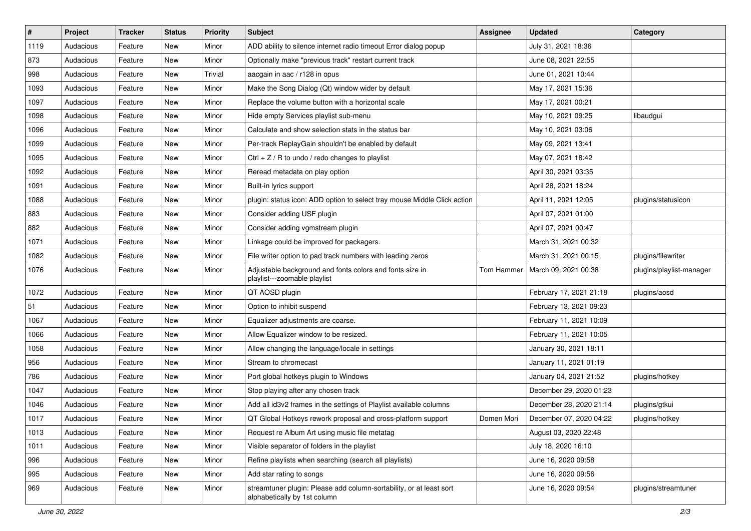| $\pmb{\#}$ | Project   | <b>Tracker</b> | <b>Status</b> | <b>Priority</b> | <b>Subject</b>                                                                                      | <b>Assignee</b> | <b>Updated</b>          | Category                 |
|------------|-----------|----------------|---------------|-----------------|-----------------------------------------------------------------------------------------------------|-----------------|-------------------------|--------------------------|
| 1119       | Audacious | Feature        | New           | Minor           | ADD ability to silence internet radio timeout Error dialog popup                                    |                 | July 31, 2021 18:36     |                          |
| 873        | Audacious | Feature        | New           | Minor           | Optionally make "previous track" restart current track                                              |                 | June 08, 2021 22:55     |                          |
| 998        | Audacious | Feature        | New           | Trivial         | aacgain in aac / r128 in opus                                                                       |                 | June 01, 2021 10:44     |                          |
| 1093       | Audacious | Feature        | New           | Minor           | Make the Song Dialog (Qt) window wider by default                                                   |                 | May 17, 2021 15:36      |                          |
| 1097       | Audacious | Feature        | New           | Minor           | Replace the volume button with a horizontal scale                                                   |                 | May 17, 2021 00:21      |                          |
| 1098       | Audacious | Feature        | New           | Minor           | Hide empty Services playlist sub-menu                                                               |                 | May 10, 2021 09:25      | libaudgui                |
| 1096       | Audacious | Feature        | New           | Minor           | Calculate and show selection stats in the status bar                                                |                 | May 10, 2021 03:06      |                          |
| 1099       | Audacious | Feature        | New           | Minor           | Per-track ReplayGain shouldn't be enabled by default                                                |                 | May 09, 2021 13:41      |                          |
| 1095       | Audacious | Feature        | New           | Minor           | Ctrl $+$ Z / R to undo / redo changes to playlist                                                   |                 | May 07, 2021 18:42      |                          |
| 1092       | Audacious | Feature        | New           | Minor           | Reread metadata on play option                                                                      |                 | April 30, 2021 03:35    |                          |
| 1091       | Audacious | Feature        | New           | Minor           | Built-in lyrics support                                                                             |                 | April 28, 2021 18:24    |                          |
| 1088       | Audacious | Feature        | New           | Minor           | plugin: status icon: ADD option to select tray mouse Middle Click action                            |                 | April 11, 2021 12:05    | plugins/statusicon       |
| 883        | Audacious | Feature        | New           | Minor           | Consider adding USF plugin                                                                          |                 | April 07, 2021 01:00    |                          |
| 882        | Audacious | Feature        | New           | Minor           | Consider adding vgmstream plugin                                                                    |                 | April 07, 2021 00:47    |                          |
| 1071       | Audacious | Feature        | New           | Minor           | Linkage could be improved for packagers.                                                            |                 | March 31, 2021 00:32    |                          |
| 1082       | Audacious | Feature        | New           | Minor           | File writer option to pad track numbers with leading zeros                                          |                 | March 31, 2021 00:15    | plugins/filewriter       |
| 1076       | Audacious | Feature        | New           | Minor           | Adjustable background and fonts colors and fonts size in<br>playlist---zoomable playlist            | Tom Hammer      | March 09, 2021 00:38    | plugins/playlist-manager |
| 1072       | Audacious | Feature        | New           | Minor           | QT AOSD plugin                                                                                      |                 | February 17, 2021 21:18 | plugins/aosd             |
| 51         | Audacious | Feature        | New           | Minor           | Option to inhibit suspend                                                                           |                 | February 13, 2021 09:23 |                          |
| 1067       | Audacious | Feature        | New           | Minor           | Equalizer adjustments are coarse.                                                                   |                 | February 11, 2021 10:09 |                          |
| 1066       | Audacious | Feature        | New           | Minor           | Allow Equalizer window to be resized.                                                               |                 | February 11, 2021 10:05 |                          |
| 1058       | Audacious | Feature        | New           | Minor           | Allow changing the language/locale in settings                                                      |                 | January 30, 2021 18:11  |                          |
| 956        | Audacious | Feature        | New           | Minor           | Stream to chromecast                                                                                |                 | January 11, 2021 01:19  |                          |
| 786        | Audacious | Feature        | New           | Minor           | Port global hotkeys plugin to Windows                                                               |                 | January 04, 2021 21:52  | plugins/hotkey           |
| 1047       | Audacious | Feature        | New           | Minor           | Stop playing after any chosen track                                                                 |                 | December 29, 2020 01:23 |                          |
| 1046       | Audacious | Feature        | New           | Minor           | Add all id3v2 frames in the settings of Playlist available columns                                  |                 | December 28, 2020 21:14 | plugins/gtkui            |
| 1017       | Audacious | Feature        | New           | Minor           | QT Global Hotkeys rework proposal and cross-platform support                                        | Domen Mori      | December 07, 2020 04:22 | plugins/hotkey           |
| 1013       | Audacious | Feature        | New           | Minor           | Request re Album Art using music file metatag                                                       |                 | August 03, 2020 22:48   |                          |
| 1011       | Audacious | Feature        | New           | Minor           | Visible separator of folders in the playlist                                                        |                 | July 18, 2020 16:10     |                          |
| 996        | Audacious | Feature        | New           | Minor           | Refine playlists when searching (search all playlists)                                              |                 | June 16, 2020 09:58     |                          |
| 995        | Audacious | Feature        | New           | Minor           | Add star rating to songs                                                                            |                 | June 16, 2020 09:56     |                          |
| 969        | Audacious | Feature        | New           | Minor           | streamtuner plugin: Please add column-sortability, or at least sort<br>alphabetically by 1st column |                 | June 16, 2020 09:54     | plugins/streamtuner      |